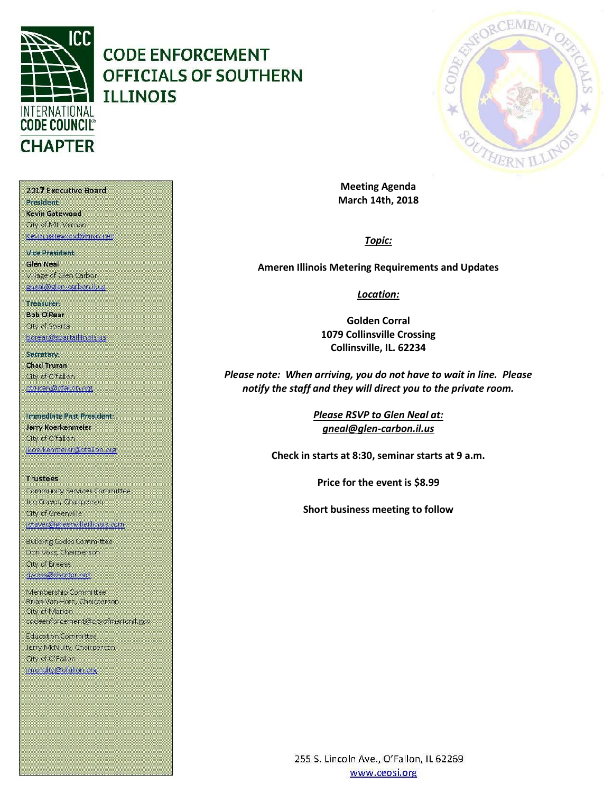

# **CODE ENFORCEMENT** OFFICIALS OF SOUTHERN **ILLINOIS**



**Meeting Agenda March 14th, 2018**

## *Topic:*

**Ameren Illinois Metering Requirements and Updates**

### *Location:*

**Golden Corral 1079 Collinsville Crossing Collinsville, IL. 62234**

*Please note: When arriving, you do not have to wait in line. Please notify the staff and they will direct you to the private room.*

> *Please RSVP to Glen Neal at: gneal@glen-carbon.il.us*

**Check in starts at 8:30, seminar starts at 9 a.m.**

**Price for the event is \$8.99**

**Short business meeting to follow**

2017 Executive Board **President:** 

Kevin Gatewood City of Mt. Vernon Kevin gatewood@mvn.net

**Vice President. Glen Neal** Village of Glen Carbon gneal@glen-carbon.il.us

Treasurer:

**Bob O'Rear** Oty of Sparta borear@spartaillinois.us

Secretary: **Chad Truran** City of O'fallon ctruran@ofallon.org

Immediate Past President: Jerry Koerkenmeier City of O'fallon jkoerkenmerer@ofallon.org

**Trustees** Community Services Committee Joe Craver, Champerson City of Greenville joraver@greenvilleillinois.com

**Building Codes Committee** Don Voss, Chairperson. City of Breese d.voss@charter.net

Membership Committee Brian Van Horn, Chairperson City of Marion codeenforcement@cityofmarionil.gov

**Education Committee** Jerry McNulty, Chairperson. City of O'Fallon imenulty@ofallor.org

> 255 S. Lincoln Ave., O'Fallon, IL 62269 www.ceosi.org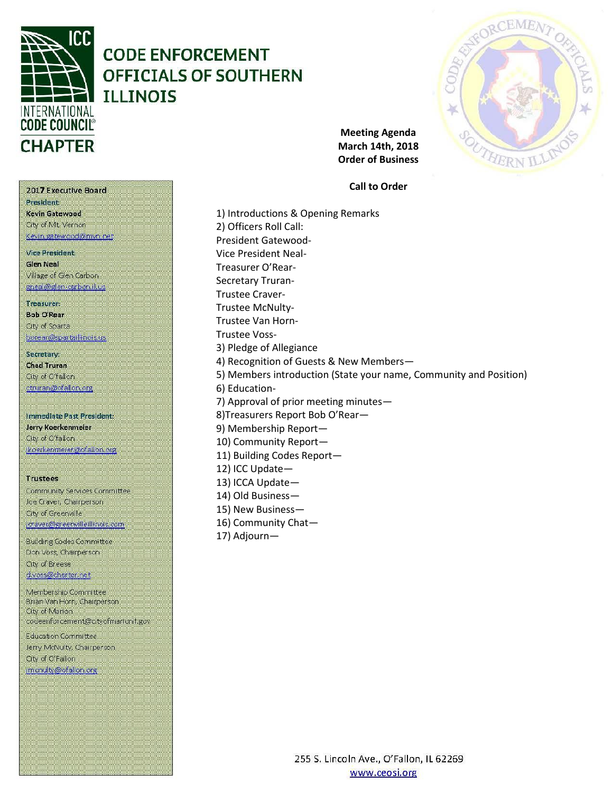

# **CODE ENFORCEMENT OFFICIALS OF SOUTHERN ILLINOIS**



**Meeting Agenda March 14th, 2018 Order of Business**

**Call to Order**

2017 Executive Board **President** Kevin Gatewood City of Mt. Vernon Kevin gatewood@mvn.net

Vice President: **Glen Neal** Village of Glen Carbon gneal@glen-carbon.il.us

Treasurer:

**Bob O'Rear** Oty of Sparta borear@spartaillinois.us

Secretary: **Chad Truran** City of O'fallon ctruran@ofallon.org

Immediate Past President: Jerry Koerkenmeier City of O'fallon (koerkenmerer@ofallon.org)

**Trustees** 

Community Services Committee Joe Craver, Champerson City of Greenville joraver@greenvilleillinois.com

**Building Codes Committee** Don Voss, Chairperson. City of Breese d.voss@charter.net

Membership Committee Brian Van Horn, Chairperson City of Marion codeenforcement@cityofmarionil.gov

**Education Committee** Jerry McNulty, Chairperson. City of O'Fallon imenulty@ofallor.org

1) Introductions & Opening Remarks 2) Officers Roll Call: President Gatewood-Vice President Neal-Treasurer O'Rear-Secretary Truran-Trustee Craver-Trustee McNulty-Trustee Van Horn-Trustee Voss-3) Pledge of Allegiance 4) Recognition of Guests & New Members— 5) Members introduction (State your name, Community and Position) 6) Education-7) Approval of prior meeting minutes— 8)Treasurers Report Bob O'Rear— 9) Membership Report— 10) Community Report— 11) Building Codes Report— 12) ICC Update— 13) ICCA Update— 14) Old Business— 15) New Business—

16) Community Chat—

17) Adjourn—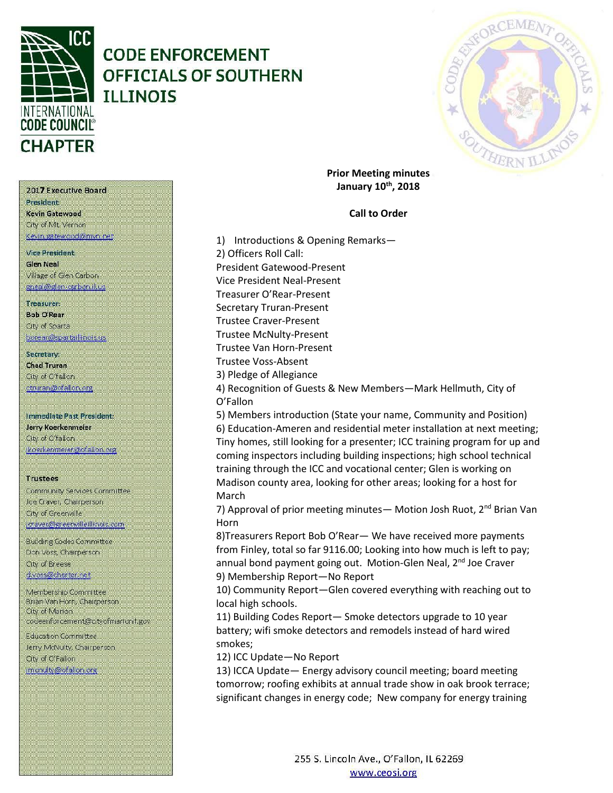

# **CODE ENFORCEMENT OFFICIALS OF SOUTHERN TLLTNOTS**



**Prior Meeting minutes January 10th, 2018**

## **Call to Order**

1) Introductions & Opening Remarks— 2) Officers Roll Call: President Gatewood-Present Vice President Neal-Present Treasurer O'Rear-Present Secretary Truran-Present Trustee Craver-Present Trustee McNulty-Present Trustee Van Horn-Present Trustee Voss-Absent 3) Pledge of Allegiance 4) Recognition of Guests & New Members—Mark Hellmuth, City of O'Fallon 5) Members introduction (State your name, Community and Position) 6) Education-Ameren and residential meter installation at next meeting; Tiny homes, still looking for a presenter; ICC training program for up and coming inspectors including building inspections; high school technical training through the ICC and vocational center; Glen is working on Madison county area, looking for other areas; looking for a host for March 7) Approval of prior meeting minutes— Motion Josh Ruot, 2<sup>nd</sup> Brian Van Horn

8)Treasurers Report Bob O'Rear— We have received more payments from Finley, total so far 9116.00; Looking into how much is left to pay; annual bond payment going out. Motion-Glen Neal, 2<sup>nd</sup> Joe Craver 9) Membership Report—No Report

10) Community Report—Glen covered everything with reaching out to local high schools.

11) Building Codes Report— Smoke detectors upgrade to 10 year battery; wifi smoke detectors and remodels instead of hard wired smokes;

12) ICC Update—No Report

13) ICCA Update— Energy advisory council meeting; board meeting tomorrow; roofing exhibits at annual trade show in oak brook terrace; significant changes in energy code; New company for energy training

2017 Executive Board President

Kevin Gatewood City of Mt. Vernon Kevin gatewood@mvn.net

**Vice President. Glen Neal** Village of Glen Carbon gneal@glen-carbon.il.us

#### Treasurer:

**Bob O'Rear** Oty of Sparta borear@spartaillinois.us

### Secretary: **Chad Truran** City of O'fallon

ctruran@ofallon.org

# Immediate Past President: Jerry Koerkenmeier

City of O'fallon (koerkenmerer@ofallon.org

### **Trustees**

Community Services Committee Joe Craver, Chairperson City of Greenville joraver@greenvilleillinois.com

**Building Codes Committee** Don Voss, Chairperson. City of Breese d.voss@charter.net

Membership Committee Brian Van Horn, Chairperson City of Marion codeenforcement@cityofmarionil.gov

**Education Committee** Jerry McNulty, Chairperson. City of O'Fallon imenuity@ofallon.org